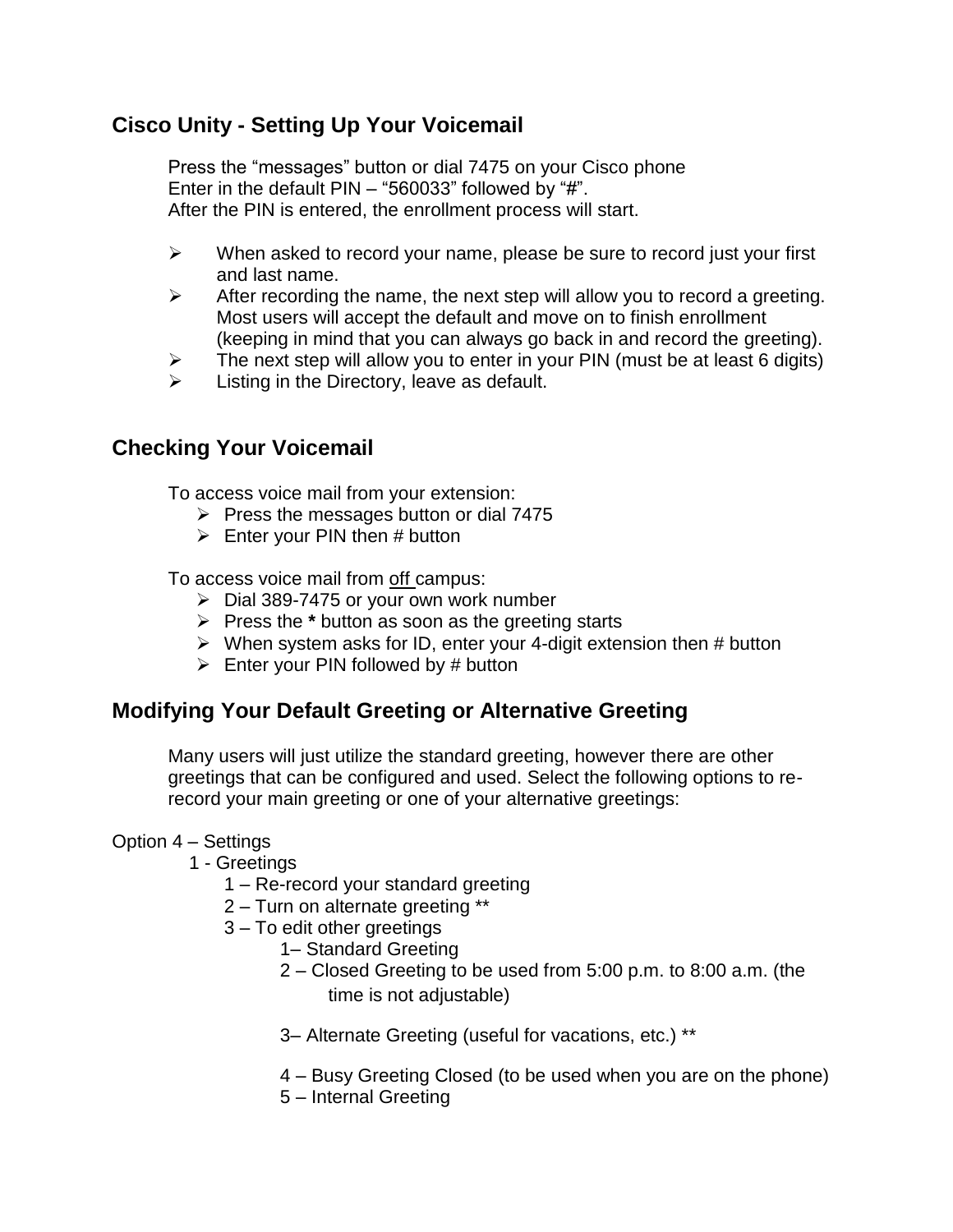## **Cisco Unity - Setting Up Your Voicemail**

Press the "messages" button or dial 7475 on your Cisco phone Enter in the default PIN – "560033" followed by "#". After the PIN is entered, the enrollment process will start.

- $\triangleright$  When asked to record your name, please be sure to record just your first and last name.
- $\triangleright$  After recording the name, the next step will allow you to record a greeting. Most users will accept the default and move on to finish enrollment (keeping in mind that you can always go back in and record the greeting).
- $\triangleright$  The next step will allow you to enter in your PIN (must be at least 6 digits)
- $\triangleright$  Listing in the Directory, leave as default.

## **Checking Your Voicemail**

To access voice mail from your extension:

- $\triangleright$  Press the messages button or dial 7475
- $\triangleright$  Enter your PIN then # button

To access voice mail from off campus:

- $\triangleright$  Dial 389-7475 or your own work number
- Press the **\*** button as soon as the greeting starts
- $\triangleright$  When system asks for ID, enter your 4-digit extension then # button
- $\triangleright$  Enter your PIN followed by # button

# **Modifying Your Default Greeting or Alternative Greeting**

Many users will just utilize the standard greeting, however there are other greetings that can be configured and used. Select the following options to rerecord your main greeting or one of your alternative greetings:

### Option 4 – Settings

- 1 Greetings
	- 1 Re-record your standard greeting
	- 2 Turn on alternate greeting \*\*
	- 3 To edit other greetings
		- 1– Standard Greeting
		- 2 Closed Greeting to be used from 5:00 p.m. to 8:00 a.m. (the
			- time is not adjustable)
		- 3– Alternate Greeting (useful for vacations, etc.) \*\*
		- 4 Busy Greeting Closed (to be used when you are on the phone)
		- 5 Internal Greeting